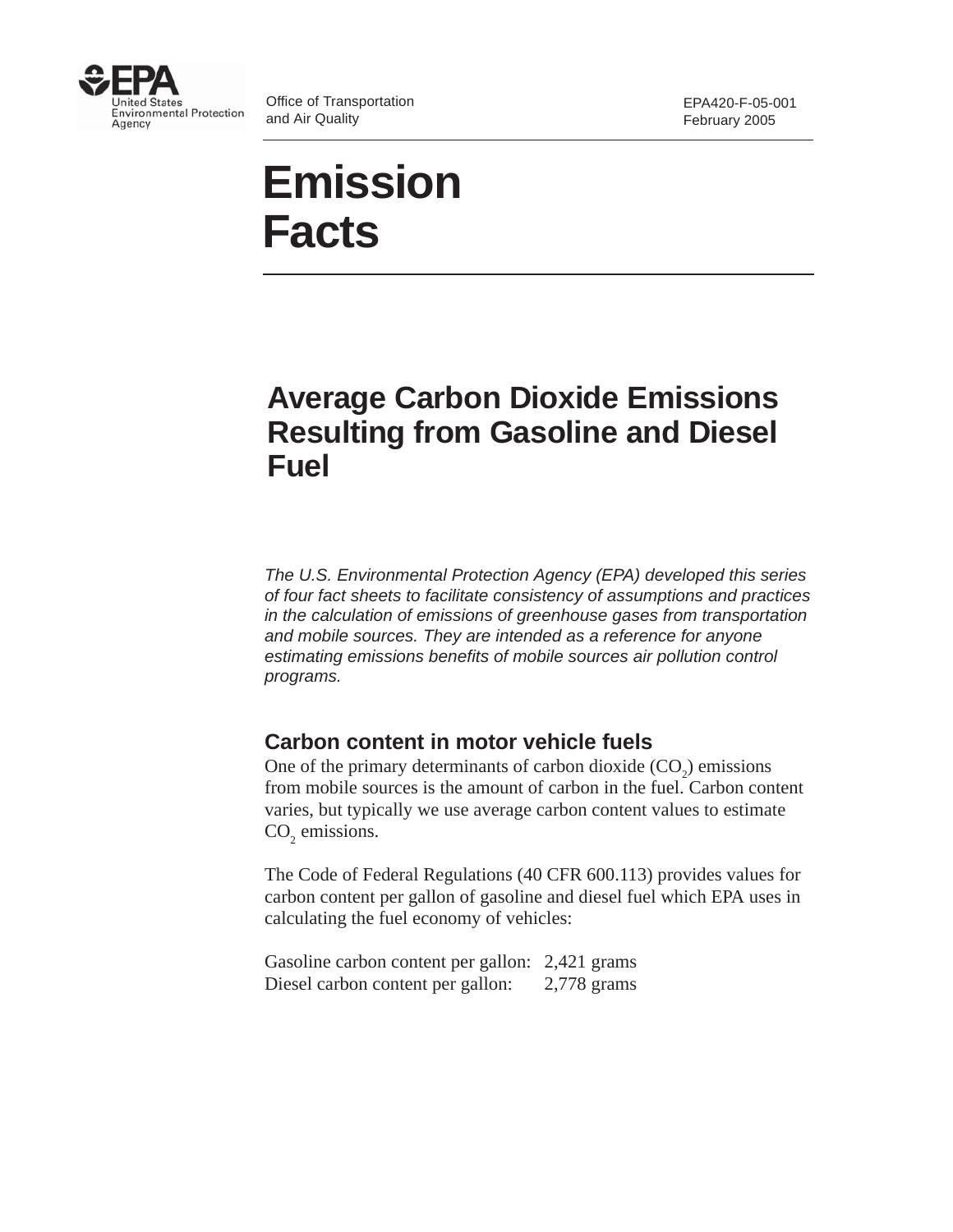

Office of Transportation and Air Quality

# **Emission Facts**

## **Average Carbon Dioxide Emissions Resulting from Gasoline and Diesel Fuel**

The U.S. Environmental Protection Agency (EPA) developed this series of four fact sheets to facilitate consistency of assumptions and practices in the calculation of emissions of greenhouse gases from transportation and mobile sources. They are intended as a reference for anyone estimating emissions benefits of mobile sources air pollution control programs.

#### **Carbon content in motor vehicle fuels**

One of the primary determinants of carbon dioxide  $(CO_2)$  emissions from mobile sources is the amount of carbon in the fuel. Carbon content varies, but typically we use average carbon content values to estimate  $CO<sub>2</sub>$  emissions.

The Code of Federal Regulations (40 CFR 600.113) provides values for carbon content per gallon of gasoline and diesel fuel which EPA uses in calculating the fuel economy of vehicles:

Gasoline carbon content per gallon: 2,421 grams Diesel carbon content per gallon: 2,778 grams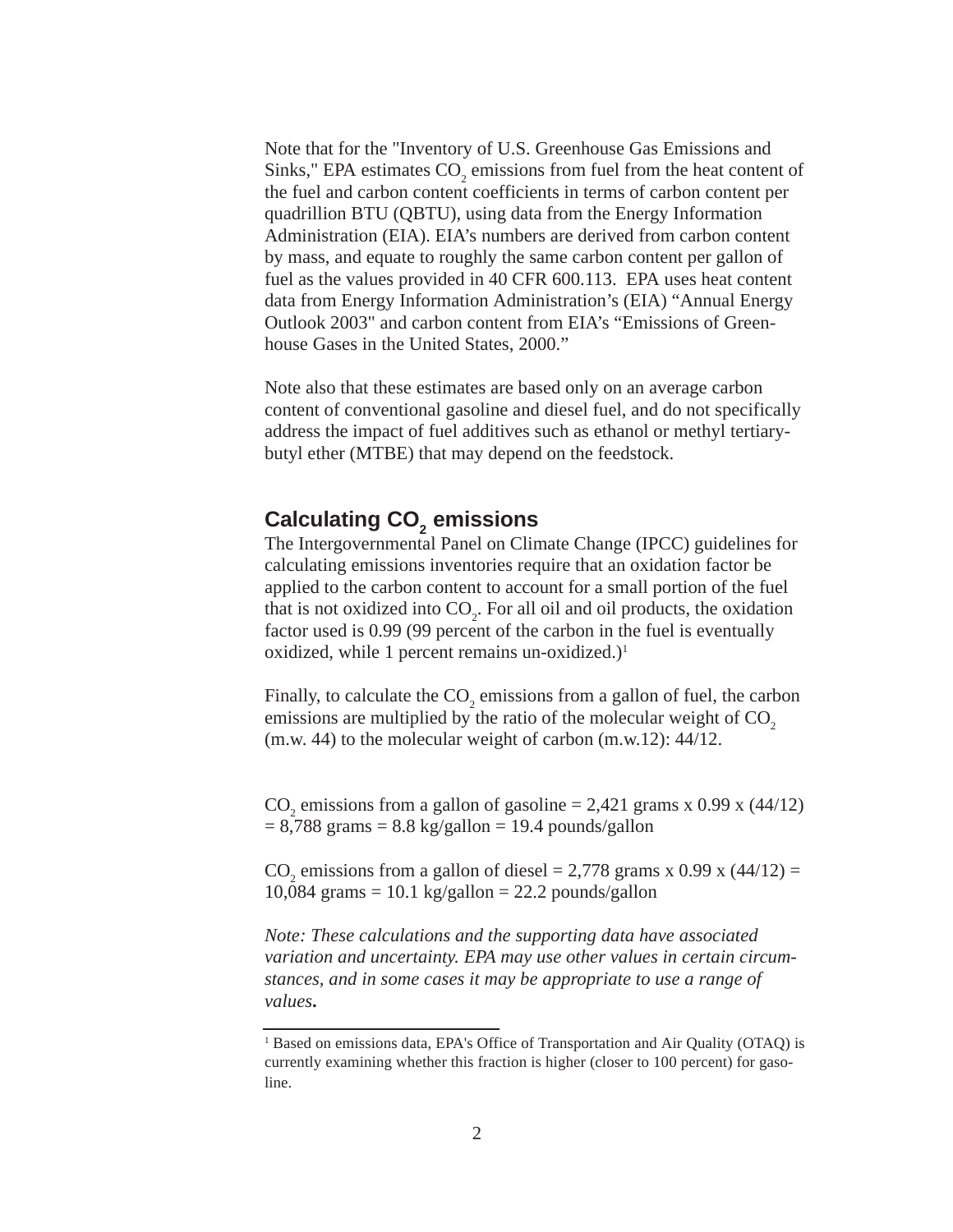Note that for the "Inventory of U.S. Greenhouse Gas Emissions and Sinks," EPA estimates  $CO_2$  emissions from fuel from the heat content of the fuel and carbon content coefficients in terms of carbon content per quadrillion BTU (QBTU), using data from the Energy Information Administration (EIA). EIA's numbers are derived from carbon content by mass, and equate to roughly the same carbon content per gallon of fuel as the values provided in 40 CFR 600.113. EPA uses heat content data from Energy Information Administration's (EIA) "Annual Energy Outlook 2003" and carbon content from EIA's "Emissions of Greenhouse Gases in the United States, 2000."

Note also that these estimates are based only on an average carbon content of conventional gasoline and diesel fuel, and do not specifically address the impact of fuel additives such as ethanol or methyl tertiarybutyl ether (MTBE) that may depend on the feedstock.

### **Calculating CO2 emissions**

The Intergovernmental Panel on Climate Change (IPCC) guidelines for calculating emissions inventories require that an oxidation factor be applied to the carbon content to account for a small portion of the fuel that is not oxidized into  $CO_2$ . For all oil and oil products, the oxidation factor used is 0.99 (99 percent of the carbon in the fuel is eventually oxidized, while 1 percent remains un-oxidized.) $<sup>1</sup>$ </sup>

Finally, to calculate the  $CO_2$  emissions from a gallon of fuel, the carbon emissions are multiplied by the ratio of the molecular weight of CO<sub>2</sub> (m.w. 44) to the molecular weight of carbon (m.w.12): 44/12.

CO<sub>2</sub> emissions from a gallon of gasoline = 2,421 grams x 0.99 x (44/12)  $= 8,788$  grams  $= 8.8$  kg/gallon  $= 19.4$  pounds/gallon

CO<sub>2</sub> emissions from a gallon of diesel = 2,778 grams x 0.99 x  $(44/12)$  =  $10,084$  grams = 10.1 kg/gallon = 22.2 pounds/gallon

*Note: These calculations and the supporting data have associated variation and uncertainty. EPA may use other values in certain circumstances, and in some cases it may be appropriate to use a range of values***.**

<sup>&</sup>lt;sup>1</sup> Based on emissions data, EPA's Office of Transportation and Air Quality (OTAQ) is currently examining whether this fraction is higher (closer to 100 percent) for gasoline.